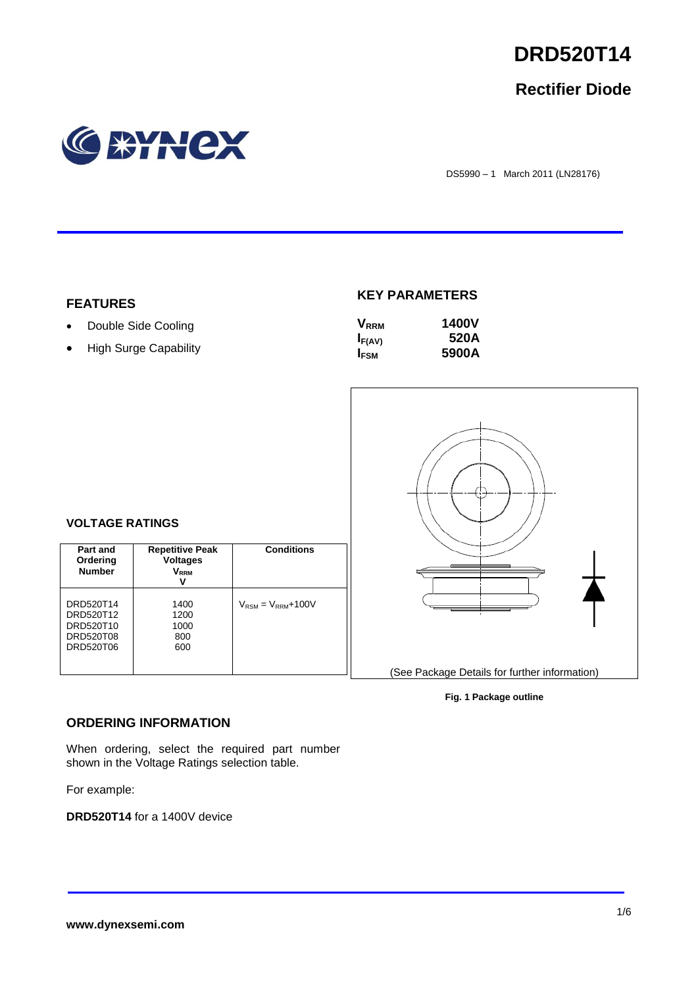

# **Rectifier Diode**



DS5990 – 1 March 2011 (LN28176)

### **FEATURES**

- Double Side Cooling
- High Surge Capability

# **KEY PARAMETERS**

| <b>V</b> <sub>RRM</sub> | <b>1400V</b> |
|-------------------------|--------------|
| $I_{F(AV)}$             | 520A         |
| I <sub>FSM</sub>        | 5900A        |



# **VOLTAGE RATINGS**

| Part and<br>Ordering<br><b>Number</b>                         | <b>Repetitive Peak</b><br><b>Voltages</b><br>$\mathsf{V}_\mathsf{RRM}$<br>V | <b>Conditions</b>                        |
|---------------------------------------------------------------|-----------------------------------------------------------------------------|------------------------------------------|
| DRD520T14<br>DRD520T12<br>DRD520T10<br>DRD520T08<br>DRD520T06 | 1400<br>1200<br>1000<br>800<br>600                                          | $V_{\text{RSM}} = V_{\text{RRM}} + 100V$ |

#### **Fig. 1 Package outline**

### **ORDERING INFORMATION**

When ordering, select the required part number shown in the Voltage Ratings selection table.

For example:

**DRD520T14** for a 1400V device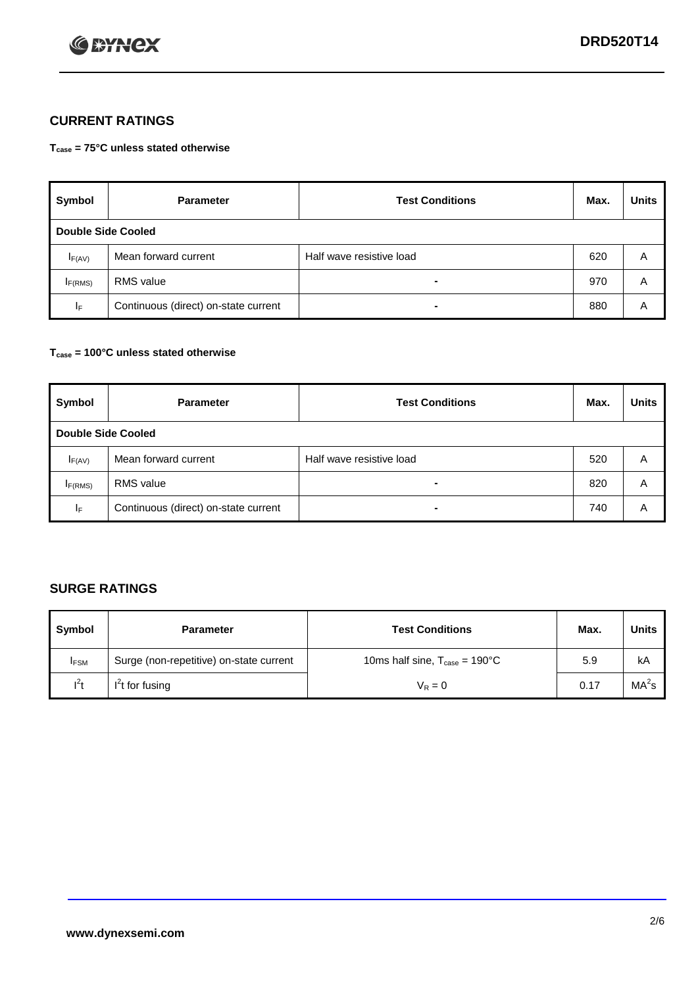

# **CURRENT RATINGS**

**Tcase = 75°C unless stated otherwise**

| Symbol                    | <b>Parameter</b>                     | <b>Test Conditions</b>   | Max. | <b>Units</b> |  |
|---------------------------|--------------------------------------|--------------------------|------|--------------|--|
| <b>Double Side Cooled</b> |                                      |                          |      |              |  |
| $I_{F(AV)}$               | Mean forward current                 | Half wave resistive load | 620  | A            |  |
| I <sub>F(RMS)</sub>       | <b>RMS</b> value                     | -                        | 970  | A            |  |
| IF.                       | Continuous (direct) on-state current | -                        | 880  | Α            |  |

### **Tcase = 100°C unless stated otherwise**

| Symbol                    | <b>Parameter</b>                     | <b>Test Conditions</b>   | Max. | <b>Units</b> |
|---------------------------|--------------------------------------|--------------------------|------|--------------|
| <b>Double Side Cooled</b> |                                      |                          |      |              |
| $I_{F(AV)}$               | Mean forward current                 | Half wave resistive load | 520  | A            |
| I <sub>F(RMS)</sub>       | <b>RMS</b> value                     | $\overline{\phantom{0}}$ | 820  | A            |
| IF                        | Continuous (direct) on-state current |                          | 740  | A            |

# **SURGE RATINGS**

| Symbol      | <b>Parameter</b>                        | <b>Test Conditions</b>                            | Max. | <b>Units</b>      |
|-------------|-----------------------------------------|---------------------------------------------------|------|-------------------|
| <b>IFSM</b> | Surge (non-repetitive) on-state current | 10ms half sine, $T_{\text{case}} = 190^{\circ}$ C | 5.9  | kA                |
| $l^2t$      | I <sup>'</sup> t for fusing             | $V_R = 0$                                         | 0.17 | MA <sup>2</sup> s |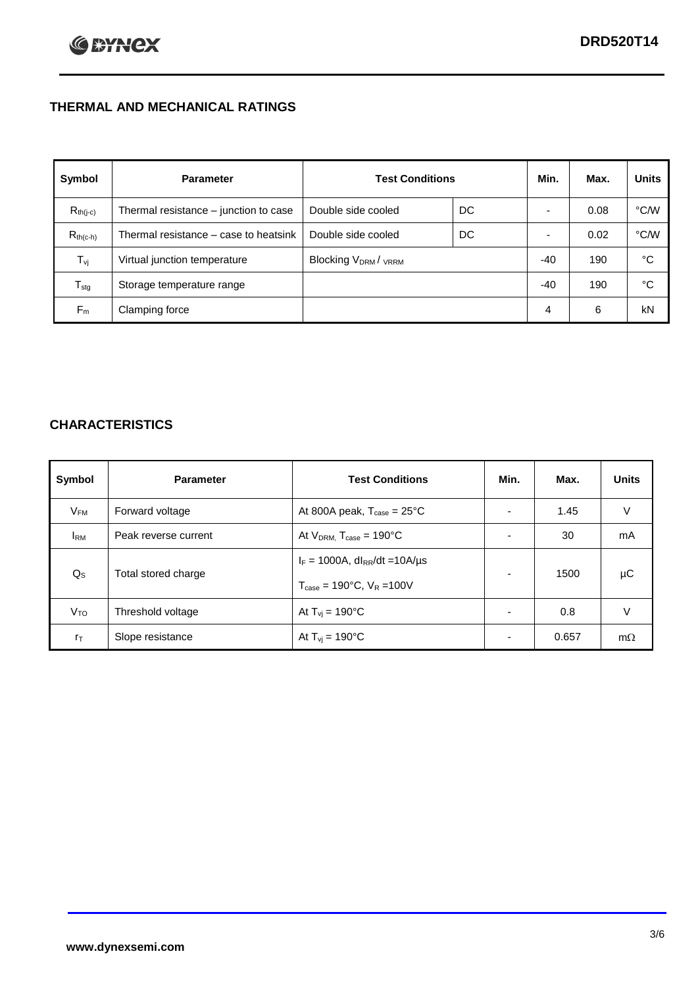# **THERMAL AND MECHANICAL RATINGS**

| Symbol           | <b>Parameter</b>                      | <b>Test Conditions</b>                      |    | Min.  | Max. | <b>Units</b> |
|------------------|---------------------------------------|---------------------------------------------|----|-------|------|--------------|
| $R_{th(j-c)}$    | Thermal resistance - junction to case | Double side cooled                          | DC |       | 0.08 | °C/W         |
| $R_{th(c-h)}$    | Thermal resistance – case to heatsink | Double side cooled                          | DC |       | 0.02 | °C/W         |
| $T_{\rm vj}$     | Virtual junction temperature          | Blocking V <sub>DRM</sub> / <sub>VRRM</sub> |    | -40   | 190  | °C           |
| $T_{\text{stg}}$ | Storage temperature range             |                                             |    | $-40$ | 190  | °C           |
| $F_m$            | Clamping force                        |                                             |    | 4     | 6    | kN           |

# **CHARACTERISTICS**

| Symbol                   | <b>Parameter</b>     | <b>Test Conditions</b>                                                                           | Min.           | Max.  | <b>Units</b> |
|--------------------------|----------------------|--------------------------------------------------------------------------------------------------|----------------|-------|--------------|
| $\mathsf{V}_\mathsf{FM}$ | Forward voltage      | At 800A peak, $T_{\text{case}} = 25^{\circ}C$                                                    |                | 1.45  | V            |
| <b>IRM</b>               | Peak reverse current | At $V_{DRM}$ , $T_{case} = 190^{\circ}C$                                                         | ۰              | 30    | mA           |
| $Q_{\rm S}$              | Total stored charge  | $I_F = 1000A$ , dl <sub>RR</sub> /dt = 10A/us<br>$T_{\text{case}} = 190^{\circ}$ C. $V_R = 100V$ | $\blacksquare$ | 1500  | μC           |
| V <sub>TO</sub>          | Threshold voltage    | At $T_{vi} = 190^{\circ}$ C                                                                      | $\blacksquare$ | 0.8   | V            |
| $r_{\text{T}}$           | Slope resistance     | At $T_{vi} = 190^{\circ}$ C                                                                      | ۰              | 0.657 | $m\Omega$    |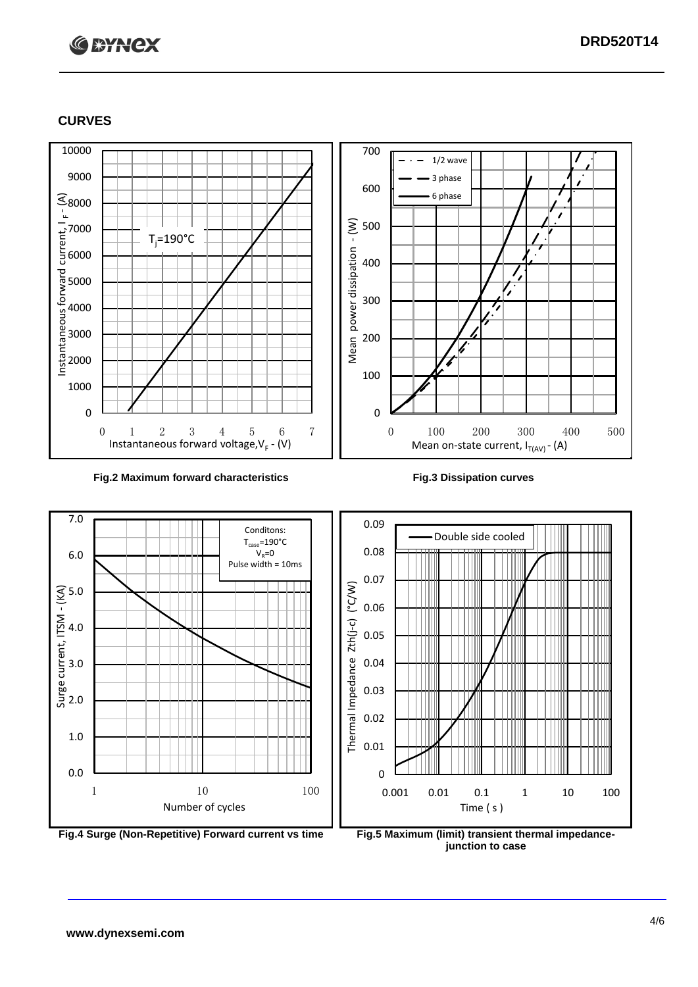# **C BYNCX**

# **CURVES**





**Fig.4 Surge (Non-Repetitive) Forward current vs time Fig.5 Maximum (limit) transient thermal impedance-**

**junction to case**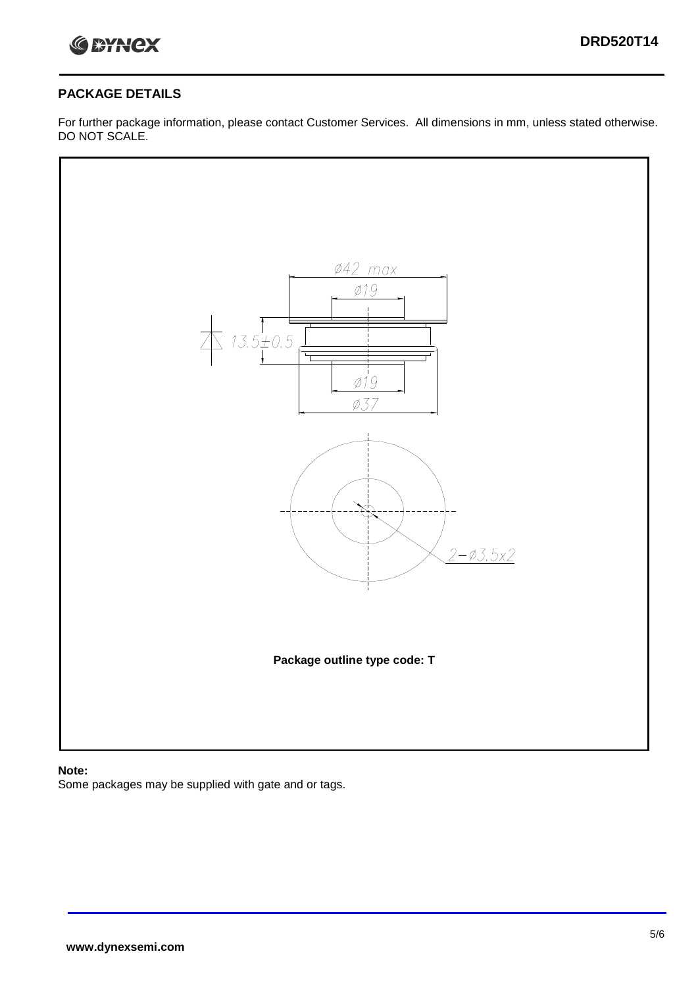

# **PACKAGE DETAILS**

For further package information, please contact Customer Services. All dimensions in mm, unless stated otherwise. DO NOT SCALE.



### **Note:**

Some packages may be supplied with gate and or tags.